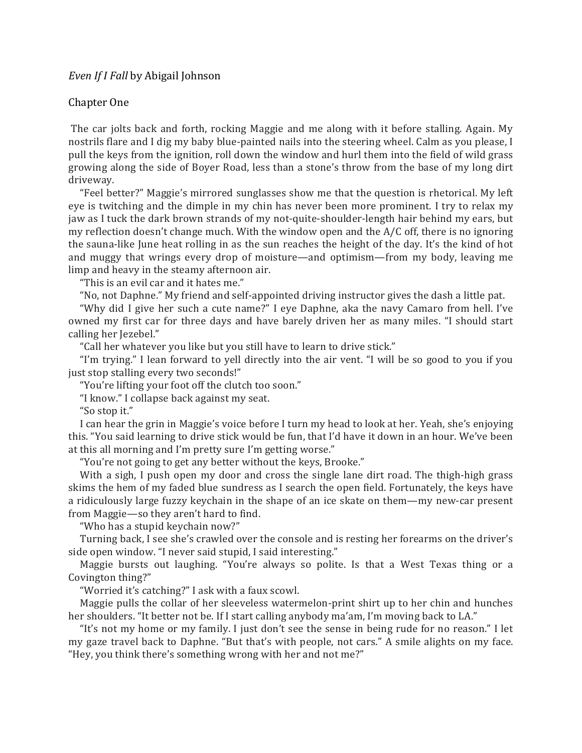## *Even If I Fall* by Abigail Johnson

## Chapter One

The car jolts back and forth, rocking Maggie and me along with it before stalling. Again. My nostrils flare and I dig my baby blue-painted nails into the steering wheel. Calm as you please, I pull the keys from the ignition, roll down the window and hurl them into the field of wild grass growing along the side of Boyer Road, less than a stone's throw from the base of my long dirt driveway.

"Feel better?" Maggie's mirrored sunglasses show me that the question is rhetorical. My left eye is twitching and the dimple in my chin has never been more prominent. I try to relax my jaw as I tuck the dark brown strands of my not-quite-shoulder-length hair behind my ears, but my reflection doesn't change much. With the window open and the  $A/C$  off, there is no ignoring the sauna-like June heat rolling in as the sun reaches the height of the day. It's the kind of hot and muggy that wrings every drop of moisture—and optimism—from my body, leaving me limp and heavy in the steamy afternoon air.

"This is an evil car and it hates me."

"No, not Daphne." My friend and self-appointed driving instructor gives the dash a little pat.

"Why did I give her such a cute name?" I eye Daphne, aka the navy Camaro from hell. I've owned my first car for three days and have barely driven her as many miles. "I should start calling her Jezebel."

"Call her whatever you like but you still have to learn to drive stick."

"I'm trying." I lean forward to yell directly into the air vent. "I will be so good to you if you just stop stalling every two seconds!"

"You're lifting your foot off the clutch too soon."

"I know." I collapse back against my seat.

"So stop it."

I can hear the grin in Maggie's voice before I turn my head to look at her. Yeah, she's enjoying this. "You said learning to drive stick would be fun, that I'd have it down in an hour. We've been at this all morning and I'm pretty sure I'm getting worse."

"You're not going to get any better without the keys, Brooke."

With a sigh, I push open my door and cross the single lane dirt road. The thigh-high grass skims the hem of my faded blue sundress as I search the open field. Fortunately, the keys have a ridiculously large fuzzy keychain in the shape of an ice skate on them—my new-car present from Maggie—so they aren't hard to find.

"Who has a stupid keychain now?"

Turning back, I see she's crawled over the console and is resting her forearms on the driver's side open window. "I never said stupid, I said interesting."

Maggie bursts out laughing. "You're always so polite. Is that a West Texas thing or a Covington thing?"

"Worried it's catching?" I ask with a faux scowl.

Maggie pulls the collar of her sleeveless watermelon-print shirt up to her chin and hunches her shoulders. "It better not be. If I start calling anybody ma'am, I'm moving back to LA."

"It's not my home or my family. I just don't see the sense in being rude for no reason." I let my gaze travel back to Daphne. "But that's with people, not cars." A smile alights on my face. "Hey, you think there's something wrong with her and not me?"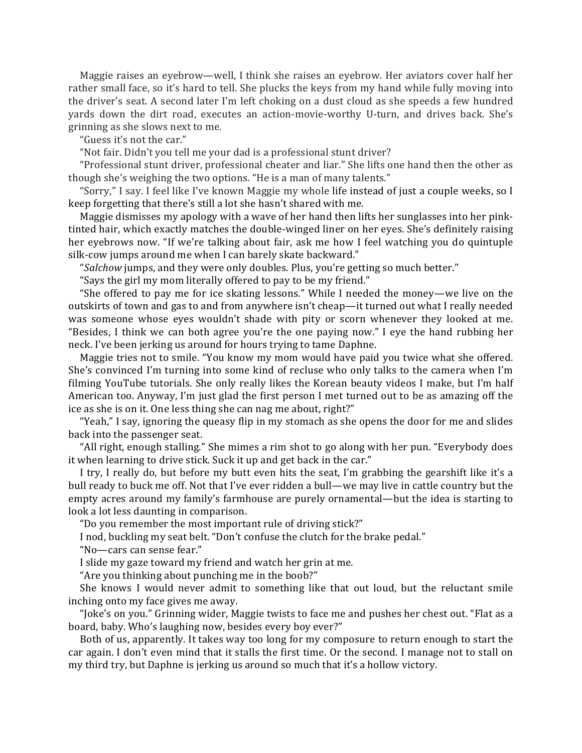Maggie raises an eyebrow—well, I think she raises an eyebrow. Her aviators cover half her rather small face, so it's hard to tell. She plucks the keys from my hand while fully moving into the driver's seat. A second later I'm left choking on a dust cloud as she speeds a few hundred yards down the dirt road, executes an action-movie-worthy U-turn, and drives back. She's grinning as she slows next to me.

"Guess it's not the car."

"Not fair. Didn't you tell me your dad is a professional stunt driver?

"Professional stunt driver, professional cheater and liar." She lifts one hand then the other as though she's weighing the two options. "He is a man of many talents."

"Sorry," I say. I feel like I've known Maggie my whole life instead of just a couple weeks, so I keep forgetting that there's still a lot she hasn't shared with me.

Maggie dismisses my apology with a wave of her hand then lifts her sunglasses into her pinktinted hair, which exactly matches the double-winged liner on her eyes. She's definitely raising her eyebrows now. "If we're talking about fair, ask me how I feel watching you do quintuple silk-cow jumps around me when I can barely skate backward."

"*Salchow* jumps, and they were only doubles. Plus, you're getting so much better."

"Says the girl my mom literally offered to pay to be my friend."

"She offered to pay me for ice skating lessons." While I needed the money—we live on the outskirts of town and gas to and from anywhere isn't cheap—it turned out what I really needed was someone whose eyes wouldn't shade with pity or scorn whenever they looked at me. "Besides, I think we can both agree you're the one paying now." I eye the hand rubbing her neck. I've been jerking us around for hours trying to tame Daphne.

Maggie tries not to smile. "You know my mom would have paid you twice what she offered. She's convinced I'm turning into some kind of recluse who only talks to the camera when I'm filming YouTube tutorials. She only really likes the Korean beauty videos I make, but I'm half American too. Anyway, I'm just glad the first person I met turned out to be as amazing off the ice as she is on it. One less thing she can nag me about, right?"

"Yeah," I say, ignoring the queasy flip in my stomach as she opens the door for me and slides back into the passenger seat.

"All right, enough stalling." She mimes a rim shot to go along with her pun. "Everybody does it when learning to drive stick. Suck it up and get back in the car."

I try, I really do, but before my butt even hits the seat, I'm grabbing the gearshift like it's a bull ready to buck me off. Not that I've ever ridden a bull—we may live in cattle country but the empty acres around my family's farmhouse are purely ornamental—but the idea is starting to look a lot less daunting in comparison.

"Do you remember the most important rule of driving stick?"

I nod, buckling my seat belt. "Don't confuse the clutch for the brake pedal."

"No-cars can sense fear."

I slide my gaze toward my friend and watch her grin at me.

"Are you thinking about punching me in the boob?"

She knows I would never admit to something like that out loud, but the reluctant smile inching onto my face gives me away.

"Joke's on you." Grinning wider, Maggie twists to face me and pushes her chest out. "Flat as a board, baby. Who's laughing now, besides every boy ever?"

Both of us, apparently. It takes way too long for my composure to return enough to start the car again. I don't even mind that it stalls the first time. Or the second. I manage not to stall on my third try, but Daphne is jerking us around so much that it's a hollow victory.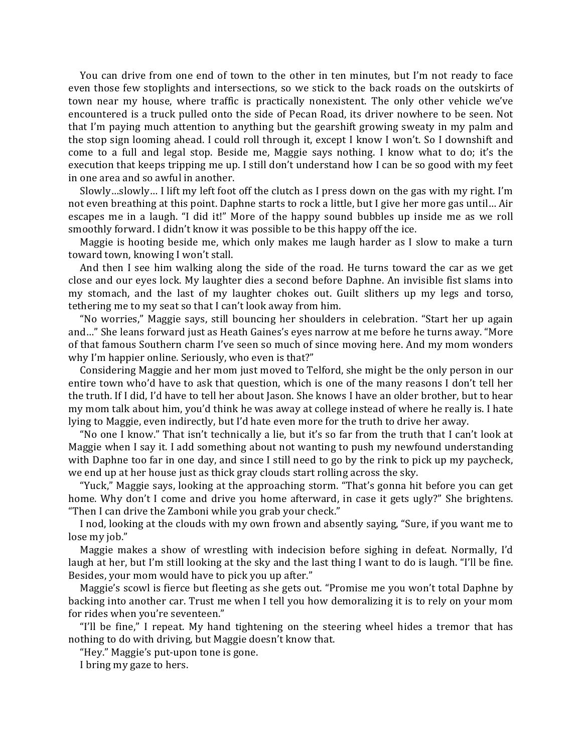You can drive from one end of town to the other in ten minutes, but I'm not ready to face even those few stoplights and intersections, so we stick to the back roads on the outskirts of town near my house, where traffic is practically nonexistent. The only other vehicle we've encountered is a truck pulled onto the side of Pecan Road, its driver nowhere to be seen. Not that I'm paying much attention to anything but the gearshift growing sweaty in my palm and the stop sign looming ahead. I could roll through it, except I know I won't. So I downshift and come to a full and legal stop. Beside me, Maggie says nothing. I know what to do; it's the execution that keeps tripping me up. I still don't understand how I can be so good with my feet in one area and so awful in another.

Slowly...slowly... I lift my left foot off the clutch as I press down on the gas with my right. I'm not even breathing at this point. Daphne starts to rock a little, but I give her more gas until... Air escapes me in a laugh. "I did it!" More of the happy sound bubbles up inside me as we roll smoothly forward. I didn't know it was possible to be this happy off the ice.

Maggie is hooting beside me, which only makes me laugh harder as I slow to make a turn toward town, knowing I won't stall.

And then I see him walking along the side of the road. He turns toward the car as we get close and our eyes lock. My laughter dies a second before Daphne. An invisible fist slams into my stomach, and the last of my laughter chokes out. Guilt slithers up my legs and torso, tethering me to my seat so that I can't look away from him.

"No worries," Maggie says, still bouncing her shoulders in celebration. "Start her up again and..." She leans forward just as Heath Gaines's eyes narrow at me before he turns away. "More of that famous Southern charm I've seen so much of since moving here. And my mom wonders why I'm happier online. Seriously, who even is that?"

Considering Maggie and her mom just moved to Telford, she might be the only person in our entire town who'd have to ask that question, which is one of the many reasons I don't tell her the truth. If I did, I'd have to tell her about Jason. She knows I have an older brother, but to hear my mom talk about him, you'd think he was away at college instead of where he really is. I hate lying to Maggie, even indirectly, but I'd hate even more for the truth to drive her away.

"No one I know." That isn't technically a lie, but it's so far from the truth that I can't look at Maggie when I say it. I add something about not wanting to push my newfound understanding with Daphne too far in one day, and since I still need to go by the rink to pick up my paycheck, we end up at her house just as thick gray clouds start rolling across the sky.

"Yuck," Maggie says, looking at the approaching storm. "That's gonna hit before you can get home. Why don't I come and drive you home afterward, in case it gets ugly?" She brightens. "Then I can drive the Zamboni while you grab your check."

I nod, looking at the clouds with my own frown and absently saying, "Sure, if you want me to lose my job."

Maggie makes a show of wrestling with indecision before sighing in defeat. Normally, I'd laugh at her, but I'm still looking at the sky and the last thing I want to do is laugh. "I'll be fine. Besides, your mom would have to pick you up after."

Maggie's scowl is fierce but fleeting as she gets out. "Promise me you won't total Daphne by backing into another car. Trust me when I tell you how demoralizing it is to rely on your mom for rides when you're seventeen."

"I'll be fine," I repeat. My hand tightening on the steering wheel hides a tremor that has nothing to do with driving, but Maggie doesn't know that.

"Hey." Maggie's put-upon tone is gone.

I bring my gaze to hers.